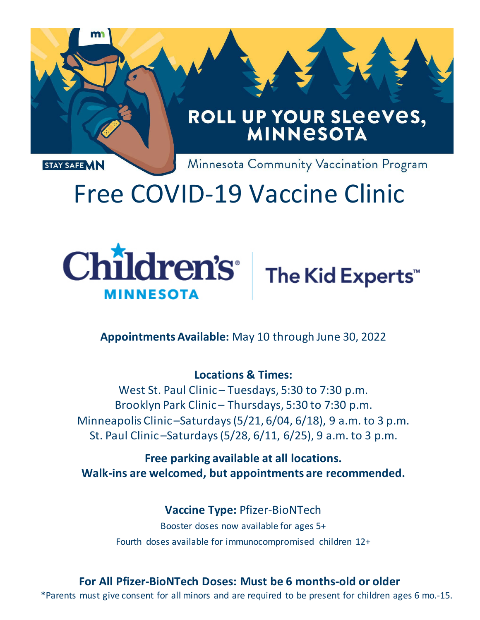

# Free COVID-19 Vaccine Clinic





**AppointmentsAvailable:** May 10 through June 30, 2022

#### **Locations & Times:**

West St. Paul Clinic – Tuesdays, 5:30 to 7:30 p.m. Brooklyn Park Clinic – Thursdays, 5:30 to 7:30 p.m. Minneapolis Clinic –Saturdays(5/21, 6/04, 6/18), 9 a.m. to 3 p.m. St. Paul Clinic –Saturdays(5/28, 6/11, 6/25), 9 a.m. to 3 p.m.

**Free parking available at all locations. Walk-ins are welcomed, but appointments are recommended.**

> **Vaccine Type:** Pfizer-BioNTech Booster doses now available for ages 5+ Fourth doses available for immunocompromised children 12+

## **For All Pfizer-BioNTech Doses: Must be 6 months-old or older**

\*Parents must give consent for all minors and are required to be present for children ages 6 mo.-15.